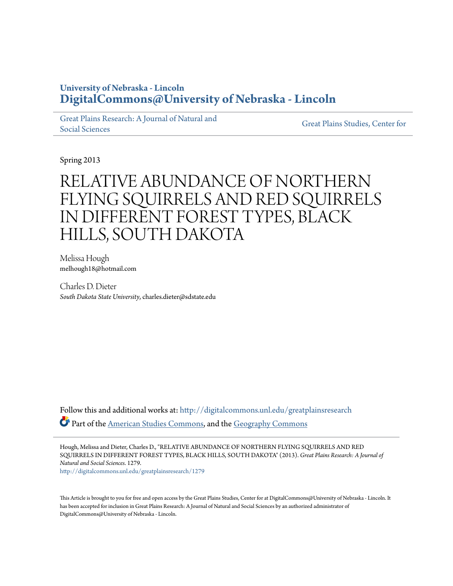## **University of Nebraska - Lincoln [DigitalCommons@University of Nebraska - Lincoln](http://digitalcommons.unl.edu?utm_source=digitalcommons.unl.edu%2Fgreatplainsresearch%2F1279&utm_medium=PDF&utm_campaign=PDFCoverPages)**

[Great Plains Research: A Journal of Natural and](http://digitalcommons.unl.edu/greatplainsresearch?utm_source=digitalcommons.unl.edu%2Fgreatplainsresearch%2F1279&utm_medium=PDF&utm_campaign=PDFCoverPages) [Social Sciences](http://digitalcommons.unl.edu/greatplainsresearch?utm_source=digitalcommons.unl.edu%2Fgreatplainsresearch%2F1279&utm_medium=PDF&utm_campaign=PDFCoverPages)

[Great Plains Studies, Center for](http://digitalcommons.unl.edu/greatplainsstudies?utm_source=digitalcommons.unl.edu%2Fgreatplainsresearch%2F1279&utm_medium=PDF&utm_campaign=PDFCoverPages)

Spring 2013

# RELATIVE ABUNDANCE OF NORTHERN FLYING SQUIRRELS AND RED SQUIRRELS IN DIFFERENT FOREST TYPES, BLACK HILLS, SOUTH DAKOTA

Melissa Hough melhough18@hotmail.com

Charles D. Dieter *South Dakota State University*, charles.dieter@sdstate.edu

Follow this and additional works at: [http://digitalcommons.unl.edu/greatplainsresearch](http://digitalcommons.unl.edu/greatplainsresearch?utm_source=digitalcommons.unl.edu%2Fgreatplainsresearch%2F1279&utm_medium=PDF&utm_campaign=PDFCoverPages) Part of the [American Studies Commons](http://network.bepress.com/hgg/discipline/439?utm_source=digitalcommons.unl.edu%2Fgreatplainsresearch%2F1279&utm_medium=PDF&utm_campaign=PDFCoverPages), and the [Geography Commons](http://network.bepress.com/hgg/discipline/354?utm_source=digitalcommons.unl.edu%2Fgreatplainsresearch%2F1279&utm_medium=PDF&utm_campaign=PDFCoverPages)

Hough, Melissa and Dieter, Charles D., "RELATIVE ABUNDANCE OF NORTHERN FLYING SQUIRRELS AND RED SQUIRRELS IN DIFFERENT FOREST TYPES, BLACK HILLS, SOUTH DAKOTA" (2013). *Great Plains Research: A Journal of Natural and Social Sciences*. 1279. [http://digitalcommons.unl.edu/greatplainsresearch/1279](http://digitalcommons.unl.edu/greatplainsresearch/1279?utm_source=digitalcommons.unl.edu%2Fgreatplainsresearch%2F1279&utm_medium=PDF&utm_campaign=PDFCoverPages)

This Article is brought to you for free and open access by the Great Plains Studies, Center for at DigitalCommons@University of Nebraska - Lincoln. It has been accepted for inclusion in Great Plains Research: A Journal of Natural and Social Sciences by an authorized administrator of DigitalCommons@University of Nebraska - Lincoln.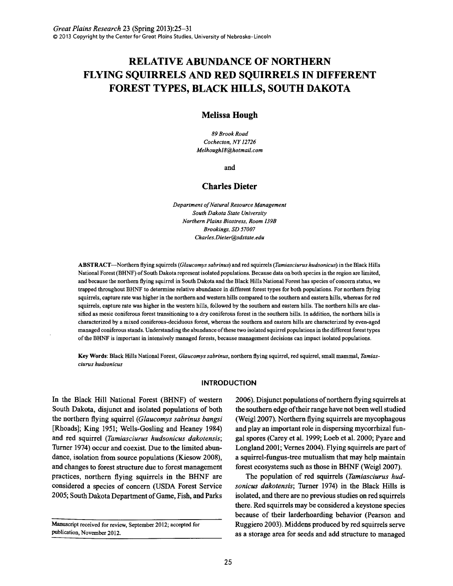# **RELATIVE ABUNDANCE OF NORTHERN FLYING SQUIRRELS AND RED SQUIRRELS IN DIFFERENT FOREST TYPES, BLACK HILLS, SOUTH DAKOTA**

## **Melissa Hough**

*89 Brook Road Cochecton, NY 12726 Melhough18@hotmail.com* 

and

### **Charles Dieter**

*Department of Natural Resource Management South Dakota State University Northern Plains Biostress, Room 139B Brookings, SD 57007 Charles.Dieter@sdstate.edu* 

ABSTRACT-Northern flying squirrels *(Glaucomys sabrinus)* and red squirrels *(Tamiasciurus hudsonicus)* in the Black Hills National Forest (BHNF) of South Dakota represent isolated populations. Because data on both species in the region are limited, and because the northern flying squirrel in South Dakota and the Black Hills National Forest has species of concern status, we trapped throughout BHNF to determine relative abundance in different forest types for both populations. For northern flying squirrels, capture rate was higher in the northern and western hills compared to the southern and eastern hills, whereas for red squirrels, capture rate was higher in the western hills, followed by the southern and eastern hills. The northern hills are classified as mesic coniferous forest transitioning to a dry coniferous forest in the southern hills. In addition, the northern hills is characterized by a mixed coniferous-deciduous forest, whereas the southern and eastern hills are characterized by even-aged managed coniferous stands. Understanding the abundance of these two isolated squirrel populations in the different forest types of the BHNF is important in intensively managed forests, because management decisions can impact isolated populations.

Key Words: Black Hills National Forest, *Glaucomys sabrinus,* northern flying squirrel, red squirrel, small mammal, *Tamiasciurus hudsonicus* 

#### **INTRODUCTION**

In the Black Hill National Forest (BHNF) of western South Dakota, disjunct and isolated populations of both the northern flying squirrel *(Glaucomys sabrinus bangsi*  [Rhoads]; King 1951; Wells-Gosling and Heaney 1984) and red squirrel *(Tamiasciurus hudsonicus dakotensis;*  Turner 1974) occur and coexist. Due to the limited abundance, isolation from source populations (Kiesow 2008), and changes to forest structure due to forest management practices, northern flying squirrels in the BHNF are considered a species of concern (USDA Forest Service 2005; South Dakota Department of Game, Fish, and Parks

Manuscript received for review, September 2012; accepted for publication, November 2012.

2006). Disjunct populations of northern flying squirrels at the southern edge of their range have not been well studied (Weigl 2007). Northern flying squirrels are mycophagous and play an important role in dispersing mycorrhizal fungal spores (Carey et al. 1999; Loeb et al. 2000; Pyare and Longland 2001; Vernes 2004). Flying squirrels are part of a squirrel-fungus-tree mutualism that may help maintain forest ecosystems such as those in BHNF (Weigl 2007).

The population of red squirrels *(Tamiasciurus hudsonicus dakotensis;* Turner 1974) in the Black Hills is isolated, and there are no previous studies on red squirrels there. Red squirrels may be considered a keystone species because of their larderhoarding behavior (Pearson and Ruggiero 2003). Middens produced by red squirrels serve as a storage area for seeds and add structure to managed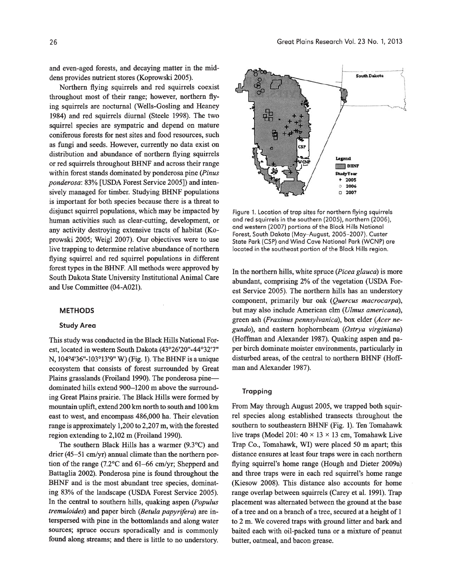and even-aged forests, and decaying matter in the middens provides nutrient stores (Koprowski 2005).

Northern flying squirrels and red squirrels coexist throughout most of their range; however, northern flying squirrels are nocturnal (Wells-Gosling and Heaney 1984) and red squirrels diurnal (Steele 1998). The two squirrel species are sympatric and depend on mature coniferous forests for nest sites and food resources, such as fungi and seeds. However, currently no data exist on distribution and abundance of northern flying squirrels or red squirrels throughout BHNF and across their range within forest stands dominated by ponderosa pine *(Pinus ponderosa:* 83% [USDA Forest Service 2005]) and intensively managed for timber. Studying BHNF populations is important for both species because there is a threat to disjunct squirrel populations, which may be impacted by human activities such as clear-cutting, development, or any activity destroying extensive tracts of habitat (Koprowski 2005; Weigl 2007). Our objectives were to use live trapping to determine relative abundance of northern flying squirrel and red squirrel populations in different forest types in the BHNF. All methods were approved by South Dakota State University Institutional Animal Care and Use Committee (04-A021).

#### **METHODS**

#### Study Area

This study was conducted in the Black Hills National Forest, located in western South Dakota (43°26'20"-44°32'7" N, 104°4'36"-103°13'9" W) (Fig. 1). The BHNF is a unique ecosystem that consists of forest surrounded by Great Plains grasslands (Froiland 1990). The ponderosa pinedominated hills extend 900-1200 m above the surrounding Great Plains prairie. The Black Hills were formed by mountain uplift, extend 200 km north to south and 100 km east to west, and encompass 486,000 ha. Their elevation range is approximately 1,200 to 2,207 m, with the forested region extending to 2,102 m (Froiland 1990).

The southern Black Hills has a warmer (9.3°C) and drier (45-51 cm/yr) annual climate than the northern portion of the range (7.2°C and 61-66 cm/yr; Shepperd and Battaglia 2002). Ponderosa pine is found throughout the BHNF and is the most abundant tree species, dominating 83% of the landscape (USDA Forest Service 2005). In the central to southern hills, quaking aspen *(Populus tremuloides*) and paper birch *(Betula papyrifera)* are interspersed with pine in the bottomlands and along water sources; spruce occurs sporadically and is commonly found along streams; and there is little to no understory.



Figure 1. Location of trap sites for northern flying squirrels and red squirrels in the southern (2005), northern (2006), and western (2007) portions of the Black Hills National Forest, South Dakota (May-August, 2005-2007). Custer State Park (CSP) and Wind Cave National Park (WCNP) are located in the southeast portion of the Black Hills region.

In the northern hills, white spruce *(Picea glauca)* is more abundant, comprising 2% of the vegetation (USDA Forest Service 2005). The northern hills has an understory component, primarily bur oak *(Quercus macrocarpa),*  but may also include American elm *(Ulmus americana),*  green ash *(Fraxinus pennsylvanica),* box elder *(Acer negundo),* and eastern hophornbeam *(Ostrya virginiana)*  (Hoffman and Alexander 1987). Quaking aspen and paper birch dominate moister environments, particularly in disturbed areas, of the central to northern BHNF (Hoffman and Alexander 1987).

#### **Trapping**

From May through August 2005, we trapped both squirrel species along established transects throughout the southern to southeastern BHNF (Fig. 1). Ten Tomahawk live traps (Model 201:  $40 \times 13 \times 13$  cm, Tomahawk Live Trap Co., Tomahawk, WI) were placed 50 m apart; this distance ensures at least four traps were in each northern flying squirrel's home range (Hough and Dieter 2009a) and three traps were in each red squirrel's home range (Kiesow 2008). This distance also accounts for home range overlap between squirrels (Carey et al. 1991). Trap placement was alternated between the ground at the base of a tree and on a branch of a tree, secured at a height of 1 to 2 m. We covered traps with ground litter and bark and baited each with oil-packed tuna or a mixture of peanut butter, oatmeal, and bacon-grease.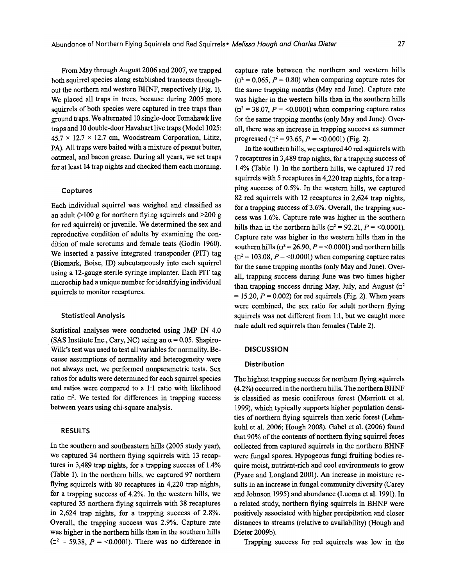From May through August 2006 and 2007, we trapped both squirrel species along established transects throughout the northern and western BHNF, respectively (Fig. 1). We placed all traps in trees, because during 2005 more squirrels of both species were captured in tree traps than ground traps. We alternated 10 single-door Tomahawk live traps and 10 double-door Havahart live traps (Model 1025:  $45.7 \times 12.7 \times 12.7$  cm, Woodstream Corporation, Lititz, PA). All traps were baited with a mixture of peanut butter, oatmeal, and bacon grease. During all years, we set traps for at least 14 trap nights and checked them each morning.

#### Captures

Each individual squirrel was weighed and classified as an adult  $(>100 \text{ g}$  for northern flying squirrels and  $>200 \text{ g}$ for red squirrels) or juvenile. We determined the sex and reproductive condition of adults by examining the condition of male scrotums and female teats (Godin 1960). We inserted a passive integrated transponder (PIT) tag (Biomark, Boise, ID) subcutaneously into each squirrel using a 12-gauge sterile syringe implanter. Each PIT tag microchip had a unique number for identifying individual squirrels to monitor recaptures.

#### Statistical Analysis

Statistical analyses were conducted using JMP IN 4.0 (SAS Institute Inc., Cary, NC) using an  $\alpha$  = 0.05. Shapiro-Wilk's test was used to test all variables for normality. Because assumptions of normality and heterogeneity were not always met, we performed nonparametric tests. Sex ratios for adults were determined for each squirrel species and ratios were compared to a 1:1 ratio with likelihood ratio  $\Box^2$ . We tested for differences in trapping success between years using chi-square analysis.

#### RESULTS

In the southern and southeastern hills (2005 study year), we captured 34 northern flying squirrels with 13 recaptures in 3,489 trap nights, for a trapping success of 1.4% (Table 1). In the northern hills, we captured 97 northern flying squirrels with 80 recaptures in 4,220 trap nights, for a trapping success of 4.2%. In the western hills, we captured 35 northern flying squirrels with 38 recaptures in 2,624 trap nights, for a trapping success of  $2.8\%$ . Overall, the trapping success was 2.9%. Capture rate was higher in the northern hills than in the southern hills  $(\Box^2 = 59.38, P = 0.0001)$ . There was no difference in

capture rate between the northern and western hills  $(\Box^2 = 0.065, P = 0.80)$  when comparing capture rates for the same trapping months (May and June). Capture rate was higher in the western hills than in the southern hills  $(\Box^2 = 38.07, P = 0.0001)$  when comparing capture rates for the same trapping months (only May and June). Overall, there was an increase in trapping success as summer progressed ( $\Box^2$  = 93.65, *P* = <0.0001) (Fig. 2).

In the southern hills, we captured 40 red squirrels with 7 recaptures in 3,489 trap nights, for a trapping success of 1.4% (Table 1). In the northern hills, we captured 17 red squirrels with 5 recaptures in 4,220 trap nights, for a trapping success of 0.5%. In the western hills, we captured 82 red squirrels with 12 recaptures in 2,624 trap nights, for a trapping success of 3.6%. Overall, the trapping success was 1.6%. Capture rate was higher in the southern hills than in the northern hills ( $\Box^2 = 92.21$ ,  $P = \langle 0.0001 \rangle$ . Capture rate was higher in the western hills than in the southern hills ( $\Box^2$  = 26.90, P = <0.0001) and northern hills  $(\Box^2 = 103.08, P = 0.0001)$  when comparing capture rates for the same trapping months (only May and June). Overall, trapping success during June was two times higher than trapping success during May, July, and August  $(\Box^2)$  $= 15.20, P = 0.002$  for red squirrels (Fig. 2). When years were combined, the sex ratio for adult northern flying squirrels was not different from 1:1, but we caught more male adult red squirrels than females (Table 2).

#### **DISCUSSION**

#### Distribution

The highest trapping success for northern flying squirrels (4.2%) occurred in the northern hills. The northern BHNF is classified as mesic coniferous forest (Marriott et a1. 1999), which typically supports higher population densities of northern flying squirrels than xeric forest (Lehmkuhl et a1. 2006; Hough 2008). Gabel et al. (2006) found that 90% of the contents of northern flying squirrel feces collected from captured squirrels in the northern BHNF were fungal spores. Hypogeous fungi fruiting bodies require moist, nutrient-rich and cool environments to grow (Pyare and Longland 2001). An increase in moisture results in an increase in fungal community diversity (Carey and Johnson 1995) and abundance (Luoma et a1. 1991). In a related study, northern flying squirrels in BHNF were positively associated with higher precipitation and closer distances to streams (relative to availability) (Hough and Dieter 2009b).

Trapping success for red squirrels was low in the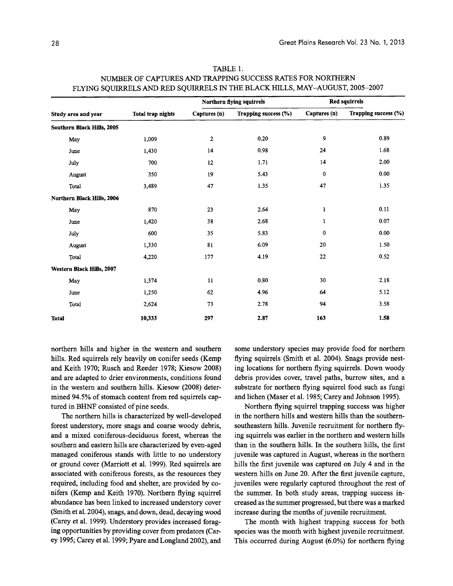| Study area and year        | Total trap nights | Northern flying squirrels |                      | <b>Red squirrels</b> |                      |
|----------------------------|-------------------|---------------------------|----------------------|----------------------|----------------------|
|                            |                   | Captures (n)              | Trapping success (%) | Captures (n)         | Trapping success (%) |
| Southern Black Hills, 2005 |                   |                           |                      |                      |                      |
| May                        | 1,009             | $\boldsymbol{2}$          | 0.20                 | 9                    | 0.89                 |
| June                       | 1,430             | 14                        | 0.98                 | 24                   | 1.68                 |
| July                       | 700               | 12                        | 1.71                 | 14                   | 2.00                 |
| August                     | 350               | 19                        | 5.43                 | 0                    | 0.00                 |
| Total                      | 3,489             | 47                        | 1.35                 | 47                   | 1.35                 |
| Northern Black Hills, 2006 |                   |                           |                      |                      |                      |
| May                        | 870               | 23                        | 2.64                 | $\mathbf{1}$         | 0.11                 |
| June                       | 1,420             | 38                        | 2.68                 | 1                    | 0.07                 |
| July                       | 600               | 35                        | 5.83                 | $\mathbf{0}$         | 0.00                 |
| August                     | 1,330             | 81                        | 6.09                 | 20                   | 1.50                 |
| Total                      | 4,220             | 177                       | 4.19                 | 22                   | 0.52                 |
| Western Black Hills, 2007  |                   |                           |                      |                      |                      |
| May                        | 1,374             | 11                        | 0.80                 | 30                   | 2.18                 |
| June                       | 1,250             | 62                        | 4.96                 | 64                   | 5.12                 |
| Total                      | 2,624             | 73                        | 2.78                 | 94                   | 3.58                 |
| <b>Total</b>               | 10,333            | 297                       | 2.87                 | 163                  | 1.58                 |

| TABLE 1.                                                                     |
|------------------------------------------------------------------------------|
| NUMBER OF CAPTURES AND TRAPPING SUCCESS RATES FOR NORTHERN                   |
| FLYING SQUIRRELS AND RED SQUIRRELS IN THE BLACK HILLS, MAY–AUGUST, 2005–2007 |

northern hills and higher in the western and southern hills. Red squirrels rely heavily on conifer seeds (Kemp and Keith 1970; Rusch and Reeder 1978; Kiesow 2008) and are adapted to drier environments, conditions found in the western and southern hills. Kiesow (2008) determined 94.5% of stomach content from red squirrels captured in BHNF consisted of pine seeds.

The northern hills is characterized by well-developed forest understory, more snags and coarse woody debris, and a mixed coniferous-deciduous forest, whereas the southern and eastern hills are characterized by even-aged managed coniferous stands with little to no understory or ground cover (Marriott et al. 1999). Red squirrels are associated with coniferous forests, as the resources they required, including food and shelter, are provided by conifers (Kemp and Keith 1970). Northern flying squirrel abundance has been linked to increased understory cover (Smith et al. 2004), snags, and down, dead, decaying wood (Carey et al. 1999). Understory provides increased foraging opportunities by providing cover from predators (Carey 1995; Carey et al. 1999; Pyare and Longland 2002), and

some understory species may provide food for northern flying squirrels (Smith et al. 2004). Snags provide nesting locations for northern flying squirrels. Down woody debris provides cover, travel paths, burrow sites, and a substrate for northern flying squirrel food such as fungi and lichen (Maser et al. 1985; Carey and Johnson 1995).

Northern flying squirrel trapping success was higher in the northern hills and western hills than the southernsoutheastern hills. Juvenile recruitment for northern flying squirrels was earlier in the northern and western hills than in the southern hills. In the southern hills, the first juvenile was captured in August, whereas in the northern hills the first juvenile was captured on July 4 and in the western hills on June 20. After the first juvenile capture, juveniles were regularly captured throughout the rest of the summer. In both study areas, trapping success increased as the summer progressed, but there was a marked increase during the months of juvenile recruitment.

The month with highest trapping success for both species was the month with highest juvenile recruitment. This occurred during August (6.0%) for northern flying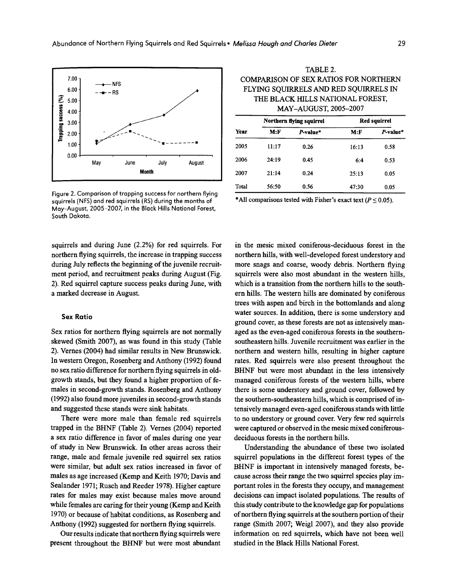

Figure 2. Comparison of trapping success for northern flying squirrels (NFS) and red squirrels (RS) during the months of May-August, 2005-2007, in the Black Hills National Forest, South Dakota.

squirrels and during June (2.2%) for red squirrels. For northern flying squirrels, the increase in trapping success during July reflects the beginning of the juvenile recruitment period, and recruitment peaks during August (Fig. 2). Red squirrel capture success peaks during June, with a marked decrease in August.

#### Sex Ratio

Sex ratios for northern flying squirrels are not normally skewed (Smith 2007), as was found in this study (Table 2). Vernes (2004) had similar results in New Brunswick. In western Oregon, Rosenberg and Anthony (1992) found no sex ratio difference for northern flying squirrels in oldgrowth stands, but they found a higher proportion of females in second-growth stands. Rosenberg and Anthony (1992) also found more juveniles in second-growth stands and suggested these stands were sink habitats.

There were more male than female red squirrels trapped in the BHNF (Table 2). Vernes (2004) reported a sex ratio difference in favor of males during one year of study in New Brunswick. In other areas across their range, male and female juvenile red squirrel sex ratios were similar, but adult sex ratios increased in favor of males as age increased (Kemp and Keith 1970; Davis and Sealander 1971; Rusch and Reeder 1978). Higher capture rates for males may exist because males move around while females are caring for their young (Kemp and Keith 1970) or because of habitat conditions, as Rosenberg and Anthony (1992) suggested for northern flying squirrels.

Our results indicate that northern flying squirrels were present throughout the BHNF but were most abundant

TABLE 2. COMPARISON OF SEX RATIOS FOR NORTHERN FLYING SQUIRRELS AND RED SQUIRRELS IN THE BLACK HILLS NATIONAL FOREST, MAY-AUGUST, 2005-2007

| Year  |       | Northern flying squirrel |        | <b>Red squirrel</b> |  |  |
|-------|-------|--------------------------|--------|---------------------|--|--|
|       | M: F  | P-value*                 | $M:$ F | P-value*            |  |  |
| 2005  | 11:17 | 0.26                     | 16:13  | 0.58                |  |  |
| 2006  | 24:19 | 0.45                     | 6:4    | 0.53                |  |  |
| 2007  | 21:14 | 0.24                     | 25:13  | 0.05                |  |  |
| Total | 56:50 | 0.56                     | 47:30  | 0.05                |  |  |

\* All comparisons tested with Fisher's exact text ( $P \le 0.05$ ).

in the mesic mixed coniferous-deciduous forest in the northern hills, with well-developed forest understory and more snags and coarse, woody debris. Northern flying squirrels were also most abundant in the western hills, which is a transition from the northern hills to the southern hills. The western hills are dominated by coniferous trees with aspen and birch in the bottomlands and along water sources. In addition, there is some understory and ground cover, as these forests are not as intensively managed as the even-aged coniferous forests in the southernsoutheastern hills. Juvenile recruitment was earlier in the northern and western hills, resulting in higher capture rates. Red squirrels were also present throughout the BHNF but were most abundant in the less intensively managed coniferous forests of the western hills, where there is some understory and ground cover, followed by the southern-southeastern hills, which is comprised of intensively managed even-aged coniferous stands with little to no understory or ground cover. Very few red squirrels were captured or observed in the mesic mixed coniferousdeciduous forests in the northern hills.

Understanding the abundance of these two isolated squirrel populations in the different forest types of the BHNF is important in intensively managed forests, because across their range the two squirrel species play important roles in the forests they occupy, and management decisions can impact isolated populations. The results of this study contribute to the knowledge gap for populations of northern flying squirrels at the southern portion of their range (Smith 2007; Weigl 2007), and they also provide information on red squirrels, which have not been well studied in the Black Hills National Forest.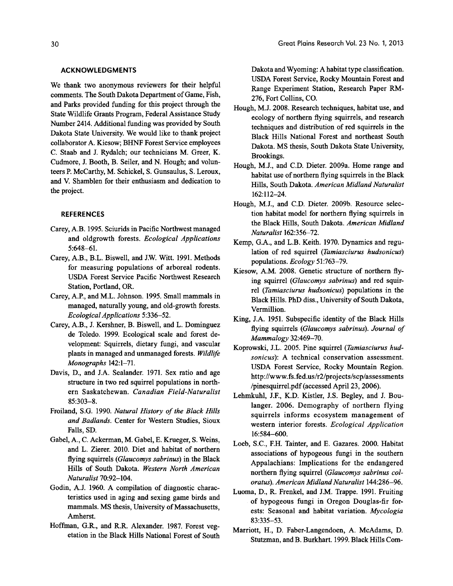#### **ACKNOWLEDGMENTS**

We thank two anonymous reviewers for their helpful comments. The South Dakota Department of Game, Fish, and Parks provided funding for this project through the State Wildlife Grants Program, Federal Assistance Study Number 2414. Additional funding was provided by South Dakota State University. We would like to thank project collaborator A. Kiesow; BHNF Forest Service employees C. Staab and J. Rydalch; our technicians M. Greer, K. Cudmore, J. Booth, B. Seiler, and N. Hough; and volunteers P. McCarthy, M. Schickel, S. Gunsaulus, S. Leroux, and V. Shamblen for their enthusiasm and dedication to the project.

#### **REFERENCES**

- Carey, AB. 1995. Sciurids in Pacific Northwest managed and oldgrowth forests. *Ecological Applications*  5:648-61.
- Carey, AB., B.L. Biswell, and lW. Witt. 1991. Methods for measuring populations of arboreal rodents. USDA Forest Service Pacific Northwest Research Station, Portland, OR.
- Carey, A.P., and M.L. Johnson. 1995. Small mammals in managed, naturally young, and old-growth forests. *Ecological Applications 5:336-52.*
- Carey, A.B., J. Kershner, B. Biswell, and L. Dominguez de Toledo. 1999. Ecological scale and forest development: Squirrels, dietary fungi, and vascular plants in managed and unmanaged forests. *Wildlife Monographs 142:1-71.*
- Davis, D., and J.A. Sealander. 1971. Sex ratio and age structure in two red squirrel populations in northern Saskatchewan. *Canadian Field-Naturalist*  85:303-8.
- Froiland, S.G. 1990. *Natural History of the Black Hills and Badlands.* Center for Western Studies, Sioux Falls, SD.
- Gabel, A., C. Ackerman, M. Gabel, E. Krueger, S. Weins, and L. Zierer. 2010. Diet and habitat of northern flying squirrels *(Glaucomys sabrinus)* in the Black Hills of South Dakota. *Western North American Naturalist 70:92-104.*
- Godin, A.J. 1960. A compilation of diagnostic characteristics used in aging and sexing game birds and mammals. MS thesis, University of Massachusetts, Amherst.
- Hoffman, G.R., and R.R. Alexander. 1987. Forest vegetation in the Black Hills National Forest of South

Dakota and Wyoming: A habitat type classification. USDA Forest Service, Rocky Mountain Forest and Range Experiment Station, Research Paper RM-276, Fort Collins, CO.

- Hough, M.l 2008. Research techniques, habitat use, and ecology of northern flying squirrels, and research techniques and distribution of red squirrels in the Black Hills National Forest and northeast South Dakota. MS thesis, South Dakota State University, Brookings.
- Hough, M.l, and C.D. Dieter. 2009a. Home range and habitat use of northern flying squirrels in the Black Hills, South Dakota. *American Midland Naturalist*  162:112-24.
- Hough, M.l, and C.D. Dieter. 2009b. Resource selection habitat model for northern flying squirrels in the Black Hills, South Dakota. *American Midland Naturalist 162:356-72.*
- Kemp, G.A., and L.B. Keith. 1970. Dynamics and regulation of red squirrel *(Tamiasciurus hudsonicus)*  populations. *Ecology 51:763-79.*
- Kiesow, AM. 2008. Genetic structure of northern flying squirrel *(Glaucomys sabrinus)* and red squirrel *(Tamiasciurus hudsonicus)* populations in the Black Hills. PhD diss., University of South Dakota, Vermillion.
- King, J.A. 1951. Subspecific identity of the Black Hills flying squirrels *(Glaucomys sabrinus). Journal of Mammalogy 32:469-70.*
- Koprowski, lL. 2005. Pine squirrel *(Tamiasciurus hudsonicus):* A technical conservation assessment. USDA Forest Service, Rocky Mountain Region. http://www.fs.fed.us/r2/projects/scp/assessments /pinesquirrel.pdf (accessed April 23, 2006).
- Lehmkuhl, J.F., K.D. Kistler, J.S. Begley, and J. Boulanger. 2006. Demography of northern flying squirrels informs ecosystem management of western interior forests. *Ecological Application*  16:584-600.
- Loeb, S.C., F.H. Tainter, and E. Gazares. 2000. Habitat associations of hypogeous fungi in the southern Appalachians: Implications for the endangered northern flying squirrel *(Glaucomys sabrinus coloratus). American Midland Naturalist 144:286-96.*
- Luoma, D., R. Frenkel, and 1M. Trappe. 1991. Fruiting . of hypogeous fungi in Oregon Douglas-fir forests: Seasonal and habitat variation. *Mycologia*  83:335-53.
- Marriott, H., D. Faber-Langendoen, A. McAdams, D. Stutzman, and B. Burkhart. 1999. Black Hills Com-